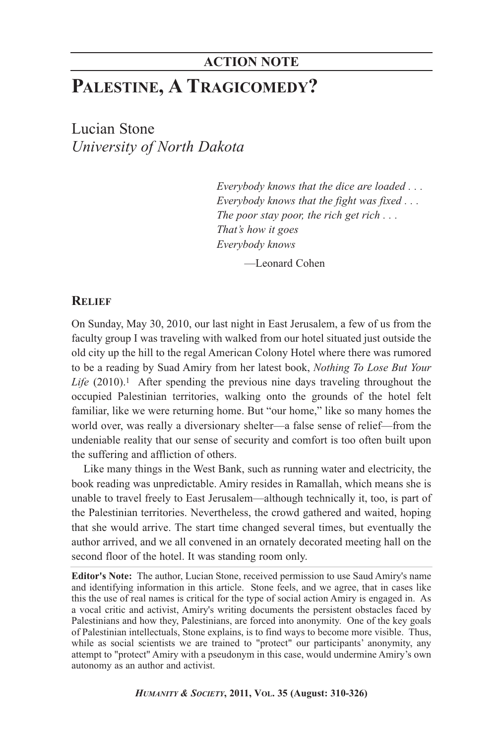# **PALESTINE, A TRAGICOMEDY? ACTION NOTE**

Lucian Stone *University of North Dakota*

> *Everybody knows that the dice are loaded . . . Everybody knows that the fight was fixed . . . The poor stay poor, the rich get rich*  $\ldots$ *That's how it goes Everybody knows* —Leonard Cohen

# **RELIEF**

On Sunday, May 30, 2010, our last night in East Jerusalem, a few of us from the faculty group I was traveling with walked from our hotel situated just outside the old city up the hill to the regal American Colony Hotel where there was rumored to be a reading by Suad Amiry from her latest book, *Nothing To Lose But Your* Life (2010).<sup>1</sup> After spending the previous nine days traveling throughout the occupied Palestinian territories, walking onto the grounds of the hotel felt familiar, like we were returning home. But "our home," like so many homes the world over, was really a diversionary shelter—a false sense of relief—from the undeniable reality that our sense of security and comfort is too often built upon the suffering and affliction of others.

Like many things in the West Bank, such as running water and electricity, the book reading was unpredictable. Amiry resides in Ramallah, which means she is unable to travel freely to East Jerusalem—although technically it, too, is part of the Palestinian territories. Nevertheless, the crowd gathered and waited, hoping that she would arrive. The start time changed several times, but eventually the author arrived, and we all convened in an ornately decorated meeting hall on the second floor of the hotel. It was standing room only.

**Editor's Note:** The author, Lucian Stone, received permission to use Saud Amiry's name and identifying information in this article. Stone feels, and we agree, that in cases like this the use of real names is critical for the type of social action Amiry is engaged in. As a vocal critic and activist, Amiry's writing documents the persistent obstacles faced by Palestinians and how they, Palestinians, are forced into anonymity. One of the key goals of Palestinian intellectuals, Stone explains, is to find ways to become more visible. Thus, while as social scientists we are trained to "protect" our participants' anonymity, any attempt to "protect" Amiry with a pseudonym in this case, would undermine Amiry's own autonomy as an author and activist.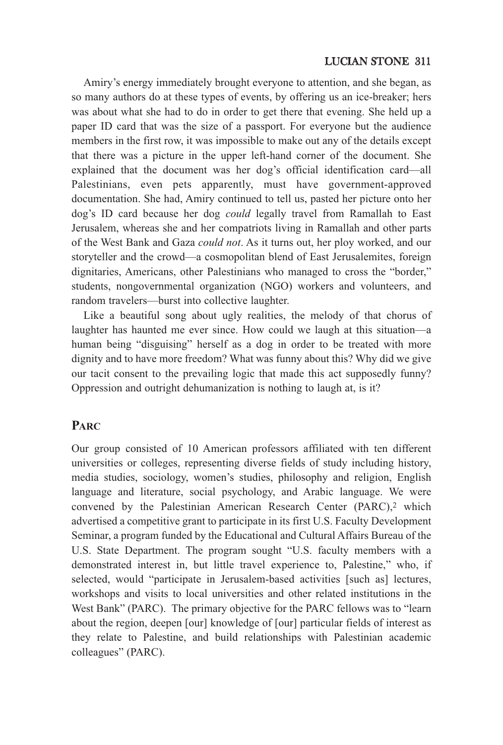Amiry's energy immediately brought everyone to attention, and she began, as so many authors do at these types of events, by offering us an ice-breaker; hers was about what she had to do in order to get there that evening. She held up a paper ID card that was the size of a passport. For everyone but the audience members in the first row, it was impossible to make out any of the details except that there was a picture in the upper left-hand corner of the document. She explained that the document was her dog's official identification card—all Palestinians, even pets apparently, must have government-approved documentation. She had, Amiry continued to tell us, pasted her picture onto her dog's ID card because her dog *could* legally travel from Ramallah to East Jerusalem, whereas she and her compatriots living in Ramallah and other parts of the West Bank and Gaza *could not*. As it turns out, her ploy worked, and our storyteller and the crowd—a cosmopolitan blend of East Jerusalemites, foreign dignitaries, Americans, other Palestinians who managed to cross the "border," students, nongovernmental organization (NGO) workers and volunteers, and random travelers—burst into collective laughter.

Like a beautiful song about ugly realities, the melody of that chorus of laughter has haunted me ever since. How could we laugh at this situation—a human being "disguising" herself as a dog in order to be treated with more dignity and to have more freedom? What was funny about this? Why did we give our tacit consent to the prevailing logic that made this act supposedly funny? Oppression and outright dehumanization is nothing to laugh at, is it?

# **PARC**

Our group consisted of 10 American professors affiliated with ten different universities or colleges, representing diverse fields of study including history, media studies, sociology, women's studies, philosophy and religion, English language and literature, social psychology, and Arabic language. We were convened by the Palestinian American Research Center (PARC),<sup>2</sup> which advertised a competitive grant to participate in its first U.S. Faculty Development Seminar, a program funded by the Educational and Cultural Affairs Bureau of the U.S. State Department. The program sought "U.S. faculty members with a demonstrated interest in, but little travel experience to, Palestine," who, if selected, would "participate in Jerusalem-based activities [such as] lectures, workshops and visits to local universities and other related institutions in the West Bank" (PARC). The primary objective for the PARC fellows was to "learn about the region, deepen [our] knowledge of [our] particular fields of interest as they relate to Palestine, and build relationships with Palestinian academic colleagues" (PARC).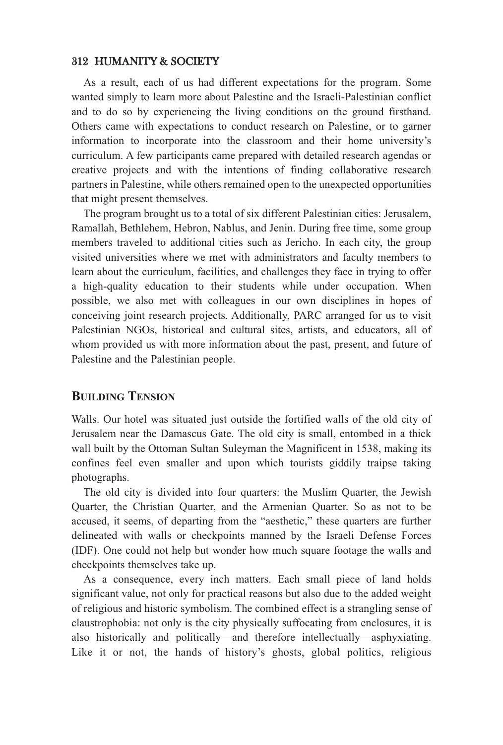As a result, each of us had different expectations for the program. Some wanted simply to learn more about Palestine and the Israeli-Palestinian conflict and to do so by experiencing the living conditions on the ground firsthand. Others came with expectations to conduct research on Palestine, or to garner information to incorporate into the classroom and their home university's curriculum. A few participants came prepared with detailed research agendas or creative projects and with the intentions of finding collaborative research partners in Palestine, while others remained open to the unexpected opportunities that might present themselves.

The program brought us to a total of six different Palestinian cities: Jerusalem, Ramallah, Bethlehem, Hebron, Nablus, and Jenin. During free time, some group members traveled to additional cities such as Jericho. In each city, the group visited universities where we met with administrators and faculty members to learn about the curriculum, facilities, and challenges they face in trying to offer a high-quality education to their students while under occupation. When possible, we also met with colleagues in our own disciplines in hopes of conceiving joint research projects. Additionally, PARC arranged for us to visit Palestinian NGOs, historical and cultural sites, artists, and educators, all of whom provided us with more information about the past, present, and future of Palestine and the Palestinian people.

# **BUILDING TENSION**

Walls. Our hotel was situated just outside the fortified walls of the old city of Jerusalem near the Damascus Gate. The old city is small, entombed in a thick wall built by the Ottoman Sultan Suleyman the Magnificent in 1538, making its confines feel even smaller and upon which tourists giddily traipse taking photographs.

The old city is divided into four quarters: the Muslim Quarter, the Jewish Quarter, the Christian Quarter, and the Armenian Quarter. So as not to be accused, it seems, of departing from the "aesthetic," these quarters are further delineated with walls or checkpoints manned by the Israeli Defense Forces (IDF). One could not help but wonder how much square footage the walls and checkpoints themselves take up.

As a consequence, every inch matters. Each small piece of land holds significant value, not only for practical reasons but also due to the added weight of religious and historic symbolism. The combined effect is a strangling sense of claustrophobia: not only is the city physically suffocating from enclosures, it is also historically and politically—and therefore intellectually—asphyxiating. Like it or not, the hands of history's ghosts, global politics, religious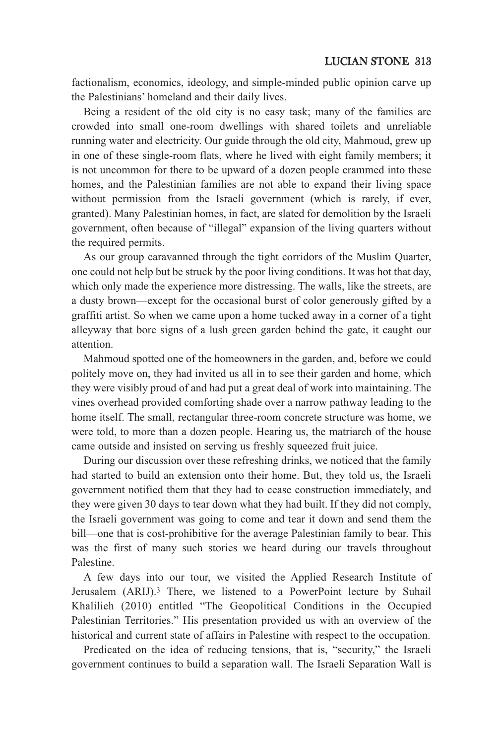factionalism, economics, ideology, and simple-minded public opinion carve up the Palestinians' homeland and their daily lives.

Being a resident of the old city is no easy task; many of the families are crowded into small one-room dwellings with shared toilets and unreliable running water and electricity. Our guide through the old city, Mahmoud, grew up in one of these single-room flats, where he lived with eight family members; it is not uncommon for there to be upward of a dozen people crammed into these homes, and the Palestinian families are not able to expand their living space without permission from the Israeli government (which is rarely, if ever, granted). Many Palestinian homes, in fact, are slated for demolition by the Israeli government, often because of "illegal" expansion of the living quarters without the required permits.

As our group caravanned through the tight corridors of the Muslim Quarter, one could not help but be struck by the poor living conditions. It was hot that day, which only made the experience more distressing. The walls, like the streets, are a dusty brown—except for the occasional burst of color generously gifted by a graffiti artist. So when we came upon a home tucked away in a corner of a tight alleyway that bore signs of a lush green garden behind the gate, it caught our attention.

Mahmoud spotted one of the homeowners in the garden, and, before we could politely move on, they had invited us all in to see their garden and home, which they were visibly proud of and had put a great deal of work into maintaining. The vines overhead provided comforting shade over a narrow pathway leading to the home itself. The small, rectangular three-room concrete structure was home, we were told, to more than a dozen people. Hearing us, the matriarch of the house came outside and insisted on serving us freshly squeezed fruit juice.

During our discussion over these refreshing drinks, we noticed that the family had started to build an extension onto their home. But, they told us, the Israeli government notified them that they had to cease construction immediately, and they were given 30 days to tear down what they had built. If they did not comply, the Israeli government was going to come and tear it down and send them the bill—one that is cost-prohibitive for the average Palestinian family to bear. This was the first of many such stories we heard during our travels throughout Palestine.

A few days into our tour, we visited the Applied Research Institute of Jerusalem (ARIJ).3 There, we listened to a PowerPoint lecture by Suhail Khalilieh (2010) entitled "The Geopolitical Conditions in the Occupied Palestinian Territories." His presentation provided us with an overview of the historical and current state of affairs in Palestine with respect to the occupation.

Predicated on the idea of reducing tensions, that is, "security," the Israeli government continues to build a separation wall. The Israeli Separation Wall is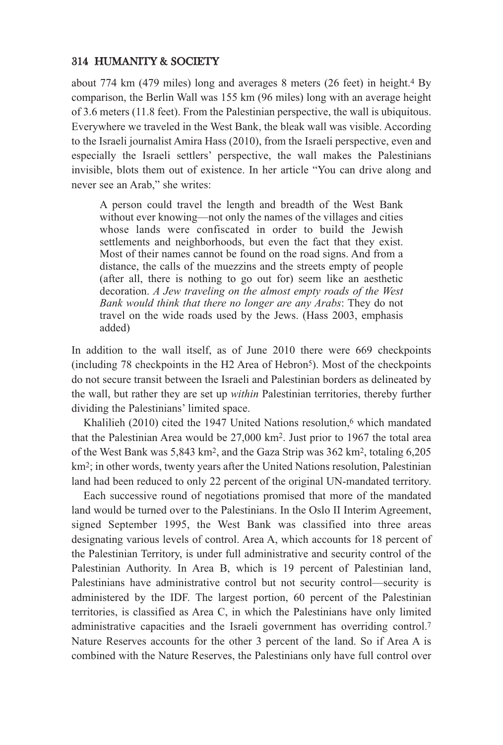about 774 km (479 miles) long and averages 8 meters (26 feet) in height.4 By comparison, the Berlin Wall was 155 km (96 miles) long with an average height of 3.6 meters (11.8 feet). From the Palestinian perspective, the wall is ubiquitous. Everywhere we traveled in the West Bank, the bleak wall was visible. According to the Israeli journalist Amira Hass (2010), from the Israeli perspective, even and especially the Israeli settlers' perspective, the wall makes the Palestinians invisible, blots them out of existence. In her article "You can drive along and never see an Arab," she writes:

A person could travel the length and breadth of the West Bank without ever knowing—not only the names of the villages and cities whose lands were confiscated in order to build the Jewish settlements and neighborhoods, but even the fact that they exist. Most of their names cannot be found on the road signs. And from a distance, the calls of the muezzins and the streets empty of people (after all, there is nothing to go out for) seem like an aesthetic decoration. *A Jew traveling on the almost empty roads of the West Bank would think that there no longer are any Arabs*: They do not travel on the wide roads used by the Jews. (Hass 2003, emphasis added)

In addition to the wall itself, as of June 2010 there were 669 checkpoints (including 78 checkpoints in the H2 Area of Hebron5). Most of the checkpoints do not secure transit between the Israeli and Palestinian borders as delineated by the wall, but rather they are set up *within* Palestinian territories, thereby further dividing the Palestinians' limited space.

Khalilieh (2010) cited the 1947 United Nations resolution,<sup>6</sup> which mandated that the Palestinian Area would be  $27,000 \text{ km}^2$ . Just prior to 1967 the total area of the West Bank was 5,843 km2, and the Gaza Strip was 362 km2, totaling 6,205 km2; in other words, twenty years after the United Nations resolution, Palestinian land had been reduced to only 22 percent of the original UN-mandated territory.

Each successive round of negotiations promised that more of the mandated land would be turned over to the Palestinians. In the Oslo II Interim Agreement, signed September 1995, the West Bank was classified into three areas designating various levels of control. Area A, which accounts for 18 percent of the Palestinian Territory, is under full administrative and security control of the Palestinian Authority. In Area B, which is 19 percent of Palestinian land, Palestinians have administrative control but not security control—security is administered by the IDF. The largest portion, 60 percent of the Palestinian territories, is classified as Area C, in which the Palestinians have only limited administrative capacities and the Israeli government has overriding control.7 Nature Reserves accounts for the other 3 percent of the land. So if Area A is combined with the Nature Reserves, the Palestinians only have full control over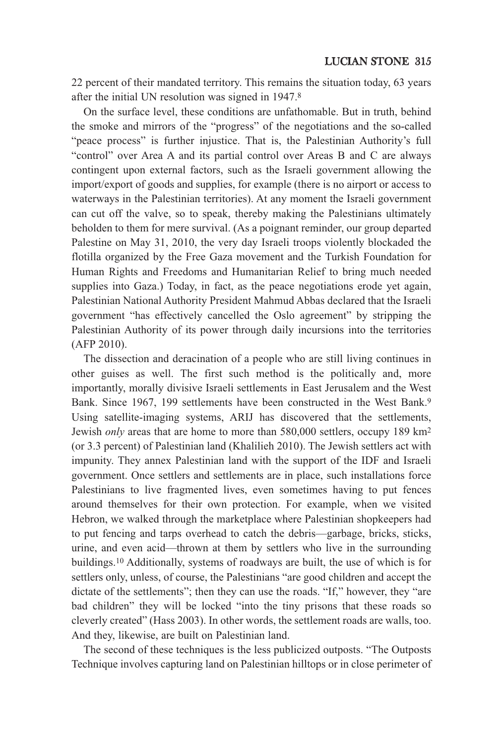22 percent of their mandated territory. This remains the situation today, 63 years after the initial UN resolution was signed in 1947.8

On the surface level, these conditions are unfathomable. But in truth, behind the smoke and mirrors of the "progress" of the negotiations and the so-called "peace process" is further injustice. That is, the Palestinian Authority's full "control" over Area A and its partial control over Areas B and C are always contingent upon external factors, such as the Israeli government allowing the import/export of goods and supplies, for example (there is no airport or access to waterways in the Palestinian territories). At any moment the Israeli government can cut off the valve, so to speak, thereby making the Palestinians ultimately beholden to them for mere survival. (As a poignant reminder, our group departed Palestine on May 31, 2010, the very day Israeli troops violently blockaded the flotilla organized by the Free Gaza movement and the Turkish Foundation for Human Rights and Freedoms and Humanitarian Relief to bring much needed supplies into Gaza.) Today, in fact, as the peace negotiations erode yet again, Palestinian National Authority President Mahmud Abbas declared that the Israeli government "has effectively cancelled the Oslo agreement" by stripping the Palestinian Authority of its power through daily incursions into the territories (AFP 2010).

The dissection and deracination of a people who are still living continues in other guises as well. The first such method is the politically and, more importantly, morally divisive Israeli settlements in East Jerusalem and the West Bank. Since 1967, 199 settlements have been constructed in the West Bank.9 Using satellite-imaging systems, ARIJ has discovered that the settlements, Jewish *only* areas that are home to more than 580,000 settlers, occupy 189 km2 (or 3.3 percent) of Palestinian land (Khalilieh 2010). The Jewish settlers act with impunity. They annex Palestinian land with the support of the IDF and Israeli government. Once settlers and settlements are in place, such installations force Palestinians to live fragmented lives, even sometimes having to put fences around themselves for their own protection. For example, when we visited Hebron, we walked through the marketplace where Palestinian shopkeepers had to put fencing and tarps overhead to catch the debris—garbage, bricks, sticks, urine, and even acid—thrown at them by settlers who live in the surrounding buildings.10 Additionally, systems of roadways are built, the use of which is for settlers only, unless, of course, the Palestinians "are good children and accept the dictate of the settlements"; then they can use the roads. "If," however, they "are bad children" they will be locked "into the tiny prisons that these roads so cleverly created" (Hass 2003). In other words, the settlement roads are walls, too. And they, likewise, are built on Palestinian land.

The second of these techniques is the less publicized outposts. "The Outposts Technique involves capturing land on Palestinian hilltops or in close perimeter of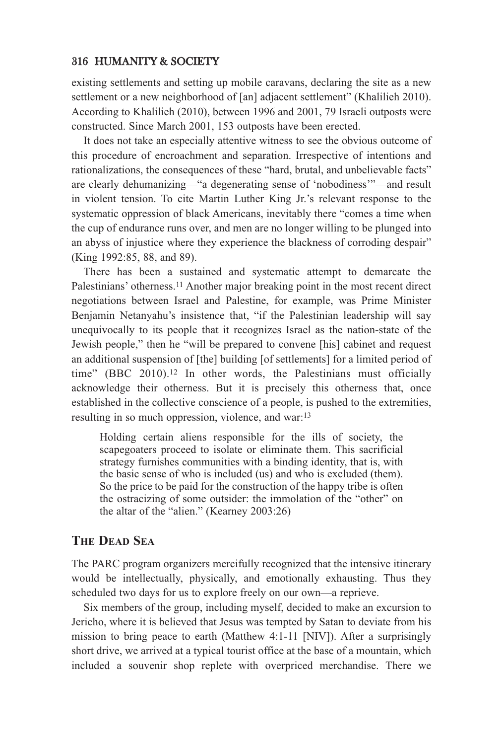existing settlements and setting up mobile caravans, declaring the site as a new settlement or a new neighborhood of [an] adjacent settlement" (Khalilieh 2010). According to Khalilieh (2010), between 1996 and 2001, 79 Israeli outposts were constructed. Since March 2001, 153 outposts have been erected.

It does not take an especially attentive witness to see the obvious outcome of this procedure of encroachment and separation. Irrespective of intentions and rationalizations, the consequences of these "hard, brutal, and unbelievable facts" are clearly dehumanizing—"a degenerating sense of 'nobodiness'"—and result in violent tension. To cite Martin Luther King Jr.'s relevant response to the systematic oppression of black Americans, inevitably there "comes a time when the cup of endurance runs over, and men are no longer willing to be plunged into an abyss of injustice where they experience the blackness of corroding despair" (King 1992:85, 88, and 89).

There has been a sustained and systematic attempt to demarcate the Palestinians' otherness.<sup>11</sup> Another major breaking point in the most recent direct negotiations between Israel and Palestine, for example, was Prime Minister Benjamin Netanyahu's insistence that, "if the Palestinian leadership will say unequivocally to its people that it recognizes Israel as the nation-state of the Jewish people," then he "will be prepared to convene [his] cabinet and request an additional suspension of [the] building [of settlements] for a limited period of time" (BBC 2010).<sup>12</sup> In other words, the Palestinians must officially acknowledge their otherness. But it is precisely this otherness that, once established in the collective conscience of a people, is pushed to the extremities, resulting in so much oppression, violence, and war:13

Holding certain aliens responsible for the ills of society, the scapegoaters proceed to isolate or eliminate them. This sacrificial strategy furnishes communities with a binding identity, that is, with the basic sense of who is included (us) and who is excluded (them). So the price to be paid for the construction of the happy tribe is often the ostracizing of some outsider: the immolation of the "other" on the altar of the "alien." (Kearney 2003:26)

# **THE DEAD SEA**

The PARC program organizers mercifully recognized that the intensive itinerary would be intellectually, physically, and emotionally exhausting. Thus they scheduled two days for us to explore freely on our own—a reprieve.

Six members of the group, including myself, decided to make an excursion to Jericho, where it is believed that Jesus was tempted by Satan to deviate from his mission to bring peace to earth (Matthew 4:1-11 [NIV]). After a surprisingly short drive, we arrived at a typical tourist office at the base of a mountain, which included a souvenir shop replete with overpriced merchandise. There we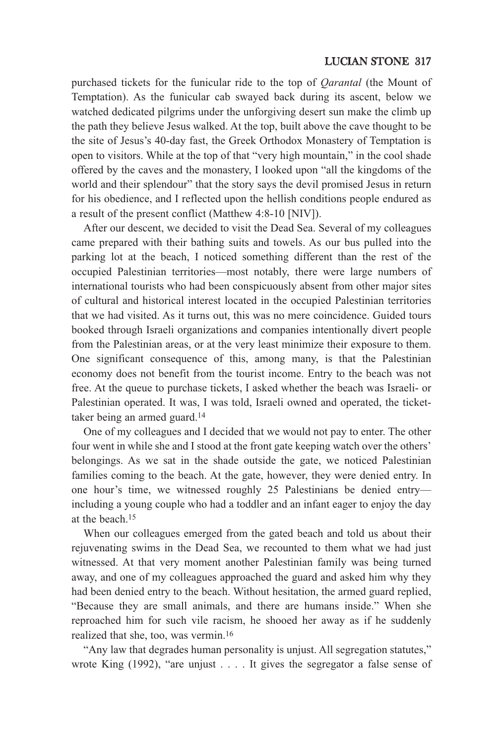purchased tickets for the funicular ride to the top of *Qarantal* (the Mount of Temptation). As the funicular cab swayed back during its ascent, below we watched dedicated pilgrims under the unforgiving desert sun make the climb up the path they believe Jesus walked. At the top, built above the cave thought to be the site of Jesus's 40-day fast, the Greek Orthodox Monastery of Temptation is open to visitors. While at the top of that "very high mountain," in the cool shade offered by the caves and the monastery, I looked upon "all the kingdoms of the world and their splendour" that the story says the devil promised Jesus in return for his obedience, and I reflected upon the hellish conditions people endured as a result of the present conflict (Matthew 4:8-10 [NIV]).

After our descent, we decided to visit the Dead Sea. Several of my colleagues came prepared with their bathing suits and towels. As our bus pulled into the parking lot at the beach, I noticed something different than the rest of the occupied Palestinian territories—most notably, there were large numbers of international tourists who had been conspicuously absent from other major sites of cultural and historical interest located in the occupied Palestinian territories that we had visited. As it turns out, this was no mere coincidence. Guided tours booked through Israeli organizations and companies intentionally divert people from the Palestinian areas, or at the very least minimize their exposure to them. One significant consequence of this, among many, is that the Palestinian economy does not benefit from the tourist income. Entry to the beach was not free. At the queue to purchase tickets, I asked whether the beach was Israeli- or Palestinian operated. It was, I was told, Israeli owned and operated, the tickettaker being an armed guard.14

One of my colleagues and I decided that we would not pay to enter. The other four went in while she and I stood at the front gate keeping watch over the others' belongings. As we sat in the shade outside the gate, we noticed Palestinian families coming to the beach. At the gate, however, they were denied entry. In one hour's time, we witnessed roughly 25 Palestinians be denied entry including a young couple who had a toddler and an infant eager to enjoy the day at the beach.15

When our colleagues emerged from the gated beach and told us about their rejuvenating swims in the Dead Sea, we recounted to them what we had just witnessed. At that very moment another Palestinian family was being turned away, and one of my colleagues approached the guard and asked him why they had been denied entry to the beach. Without hesitation, the armed guard replied, "Because they are small animals, and there are humans inside." When she reproached him for such vile racism, he shooed her away as if he suddenly realized that she, too, was vermin.16

"Any law that degrades human personality is unjust. All segregation statutes," wrote King (1992), "are unjust . . . . It gives the segregator a false sense of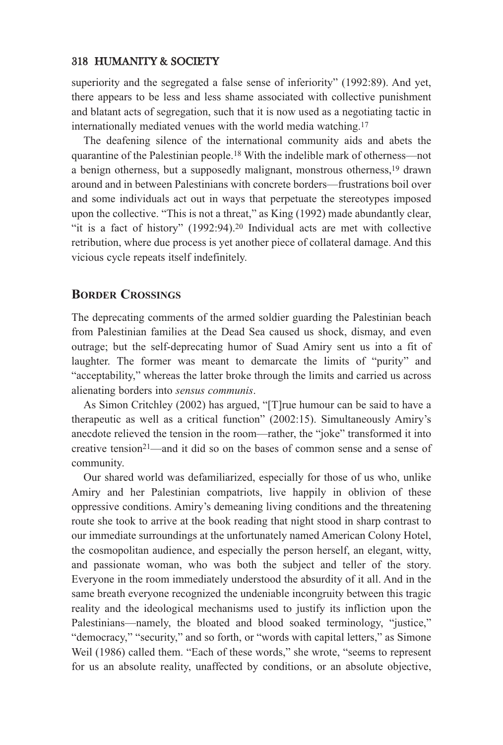superiority and the segregated a false sense of inferiority" (1992:89). And yet, there appears to be less and less shame associated with collective punishment and blatant acts of segregation, such that it is now used as a negotiating tactic in internationally mediated venues with the world media watching.17

The deafening silence of the international community aids and abets the quarantine of the Palestinian people.18 With the indelible mark of otherness—not a benign otherness, but a supposedly malignant, monstrous otherness,19 drawn around and in between Palestinians with concrete borders—frustrations boil over and some individuals act out in ways that perpetuate the stereotypes imposed upon the collective. "This is not a threat," as King (1992) made abundantly clear, "it is a fact of history" (1992:94).20 Individual acts are met with collective retribution, where due process is yet another piece of collateral damage. And this vicious cycle repeats itself indefinitely.

# **BORDER CROSSINGS**

The deprecating comments of the armed soldier guarding the Palestinian beach from Palestinian families at the Dead Sea caused us shock, dismay, and even outrage; but the self-deprecating humor of Suad Amiry sent us into a fit of laughter. The former was meant to demarcate the limits of "purity" and "acceptability," whereas the latter broke through the limits and carried us across alienating borders into *sensus communis*.

As Simon Critchley (2002) has argued, "[T]rue humour can be said to have a therapeutic as well as a critical function" (2002:15). Simultaneously Amiry's anecdote relieved the tension in the room—rather, the "joke" transformed it into creative tension21—and it did so on the bases of common sense and a sense of community.

Our shared world was defamiliarized, especially for those of us who, unlike Amiry and her Palestinian compatriots, live happily in oblivion of these oppressive conditions. Amiry's demeaning living conditions and the threatening route she took to arrive at the book reading that night stood in sharp contrast to our immediate surroundings at the unfortunately named American Colony Hotel, the cosmopolitan audience, and especially the person herself, an elegant, witty, and passionate woman, who was both the subject and teller of the story. Everyone in the room immediately understood the absurdity of it all. And in the same breath everyone recognized the undeniable incongruity between this tragic reality and the ideological mechanisms used to justify its infliction upon the Palestinians—namely, the bloated and blood soaked terminology, "justice," "democracy," "security," and so forth, or "words with capital letters," as Simone Weil (1986) called them. "Each of these words," she wrote, "seems to represent for us an absolute reality, unaffected by conditions, or an absolute objective,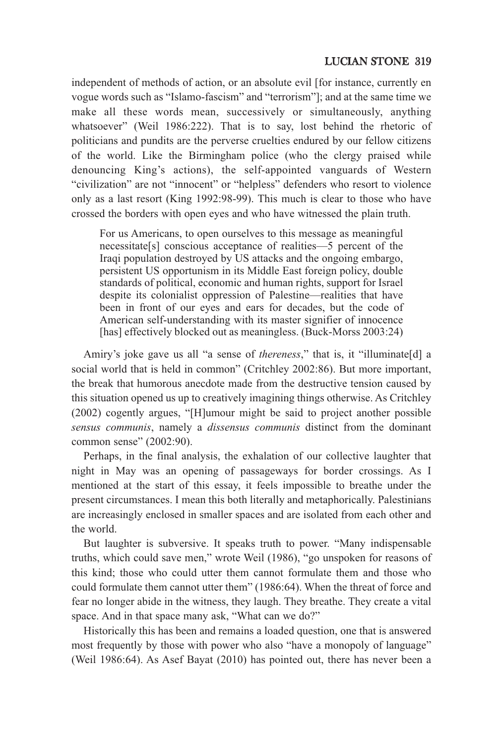independent of methods of action, or an absolute evil [for instance, currently en vogue words such as "Islamo-fascism" and "terrorism"]; and at the same time we make all these words mean, successively or simultaneously, anything whatsoever" (Weil 1986:222). That is to say, lost behind the rhetoric of politicians and pundits are the perverse cruelties endured by our fellow citizens of the world. Like the Birmingham police (who the clergy praised while denouncing King's actions), the self-appointed vanguards of Western "civilization" are not "innocent" or "helpless" defenders who resort to violence only as a last resort (King 1992:98-99). This much is clear to those who have crossed the borders with open eyes and who have witnessed the plain truth.

For us Americans, to open ourselves to this message as meaningful necessitate[s] conscious acceptance of realities—5 percent of the Iraqi population destroyed by US attacks and the ongoing embargo, persistent US opportunism in its Middle East foreign policy, double standards of political, economic and human rights, support for Israel despite its colonialist oppression of Palestine—realities that have been in front of our eyes and ears for decades, but the code of American self-understanding with its master signifier of innocence [has] effectively blocked out as meaningless. (Buck-Morss 2003:24)

Amiry's joke gave us all "a sense of *thereness*," that is, it "illuminate[d] a social world that is held in common" (Critchley 2002:86). But more important, the break that humorous anecdote made from the destructive tension caused by this situation opened us up to creatively imagining things otherwise. As Critchley (2002) cogently argues, "[H]umour might be said to project another possible *sensus communis*, namely a *dissensus communis* distinct from the dominant common sense" (2002:90).

Perhaps, in the final analysis, the exhalation of our collective laughter that night in May was an opening of passageways for border crossings. As I mentioned at the start of this essay, it feels impossible to breathe under the present circumstances. I mean this both literally and metaphorically. Palestinians are increasingly enclosed in smaller spaces and are isolated from each other and the world.

But laughter is subversive. It speaks truth to power. "Many indispensable truths, which could save men," wrote Weil (1986), "go unspoken for reasons of this kind; those who could utter them cannot formulate them and those who could formulate them cannot utter them" (1986:64). When the threat of force and fear no longer abide in the witness, they laugh. They breathe. They create a vital space. And in that space many ask, "What can we do?"

Historically this has been and remains a loaded question, one that is answered most frequently by those with power who also "have a monopoly of language" (Weil 1986:64). As Asef Bayat (2010) has pointed out, there has never been a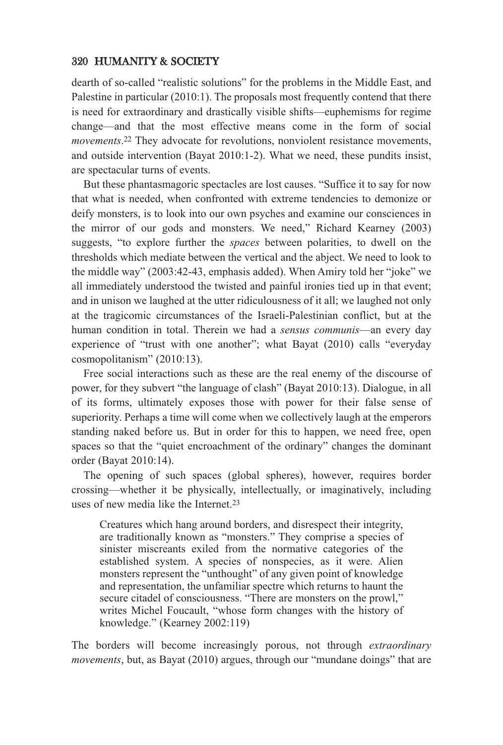dearth of so-called "realistic solutions" for the problems in the Middle East, and Palestine in particular (2010:1). The proposals most frequently contend that there is need for extraordinary and drastically visible shifts—euphemisms for regime change—and that the most effective means come in the form of social *movements*.<sup>22</sup> They advocate for revolutions, nonviolent resistance movements, and outside intervention (Bayat 2010:1-2). What we need, these pundits insist, are spectacular turns of events.

But these phantasmagoric spectacles are lost causes. "Suffice it to say for now that what is needed, when confronted with extreme tendencies to demonize or deify monsters, is to look into our own psyches and examine our consciences in the mirror of our gods and monsters. We need," Richard Kearney (2003) suggests, "to explore further the *spaces* between polarities, to dwell on the thresholds which mediate between the vertical and the abject. We need to look to the middle way" (2003:42-43, emphasis added). When Amiry told her "joke" we all immediately understood the twisted and painful ironies tied up in that event; and in unison we laughed at the utter ridiculousness of it all; we laughed not only at the tragicomic circumstances of the Israeli-Palestinian conflict, but at the human condition in total. Therein we had a *sensus communis*—an every day experience of "trust with one another"; what Bayat (2010) calls "everyday cosmopolitanism" (2010:13).

Free social interactions such as these are the real enemy of the discourse of power, for they subvert "the language of clash" (Bayat 2010:13). Dialogue, in all of its forms, ultimately exposes those with power for their false sense of superiority. Perhaps a time will come when we collectively laugh at the emperors standing naked before us. But in order for this to happen, we need free, open spaces so that the "quiet encroachment of the ordinary" changes the dominant order (Bayat 2010:14).

The opening of such spaces (global spheres), however, requires border crossing—whether it be physically, intellectually, or imaginatively, including uses of new media like the Internet.23

Creatures which hang around borders, and disrespect their integrity, are traditionally known as "monsters." They comprise a species of sinister miscreants exiled from the normative categories of the established system. A species of nonspecies, as it were. Alien monsters represent the "unthought" of any given point of knowledge and representation, the unfamiliar spectre which returns to haunt the secure citadel of consciousness. "There are monsters on the prowl," writes Michel Foucault, "whose form changes with the history of knowledge." (Kearney 2002:119)

The borders will become increasingly porous, not through *extraordinary movements*, but, as Bayat (2010) argues, through our "mundane doings" that are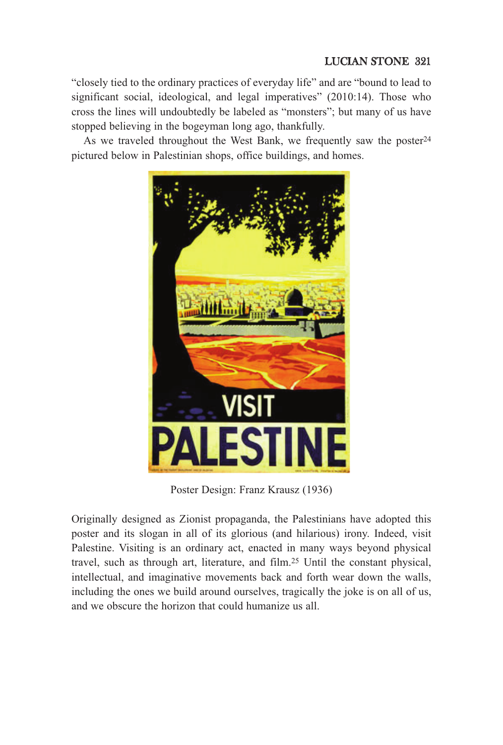"closely tied to the ordinary practices of everyday life" and are "bound to lead to significant social, ideological, and legal imperatives" (2010:14). Those who cross the lines will undoubtedly be labeled as "monsters"; but many of us have stopped believing in the bogeyman long ago, thankfully.

As we traveled throughout the West Bank, we frequently saw the poster<sup>24</sup> pictured below in Palestinian shops, office buildings, and homes.



Poster Design: Franz Krausz (1936)

Originally designed as Zionist propaganda, the Palestinians have adopted this poster and its slogan in all of its glorious (and hilarious) irony. Indeed, visit Palestine. Visiting is an ordinary act, enacted in many ways beyond physical travel, such as through art, literature, and film.25 Until the constant physical, intellectual, and imaginative movements back and forth wear down the walls, including the ones we build around ourselves, tragically the joke is on all of us, and we obscure the horizon that could humanize us all.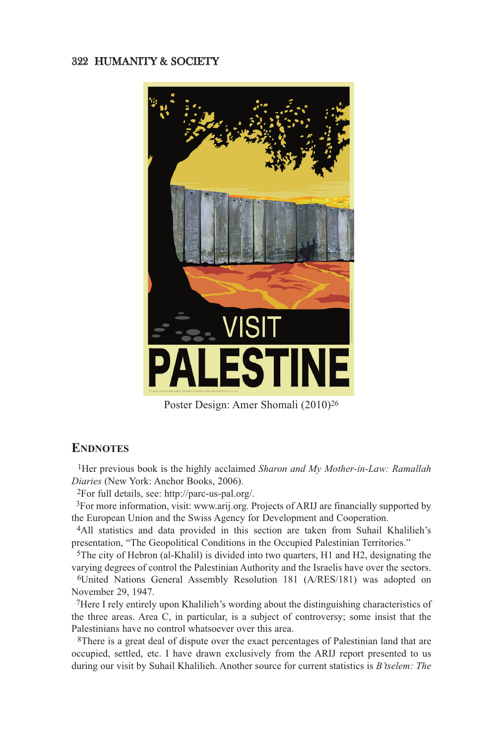

Poster Design: Amer Shomali (2010)26

#### **ENDNOTES**

1Her previous book is the highly acclaimed *Sharon and My Mother-in-Law: Ramallah Diaries* (New York: Anchor Books, 2006).

2For full details, see: http://parc-us-pal.org/.

3For more information, visit: www.arij.org. Projects of ARIJ are financially supported by the European Union and the Swiss Agency for Development and Cooperation.

4All statistics and data provided in this section are taken from Suhail Khalilieh's presentation, "The Geopolitical Conditions in the Occupied Palestinian Territories."

5The city of Hebron (al-Khalil) is divided into two quarters, H1 and H2, designating the varying degrees of control the Palestinian Authority and the Israelis have over the sectors.

6United Nations General Assembly Resolution 181 (A/RES/181) was adopted on November 29, 1947.

7Here I rely entirely upon Khalilieh's wording about the distinguishing characteristics of the three areas. Area C, in particular, is a subject of controversy; some insist that the Palestinians have no control whatsoever over this area.

8There is a great deal of dispute over the exact percentages of Palestinian land that are occupied, settled, etc. I have drawn exclusively from the ARIJ report presented to us during our visit by Suhail Khalilieh. Another source for current statistics is *B'tselem: The*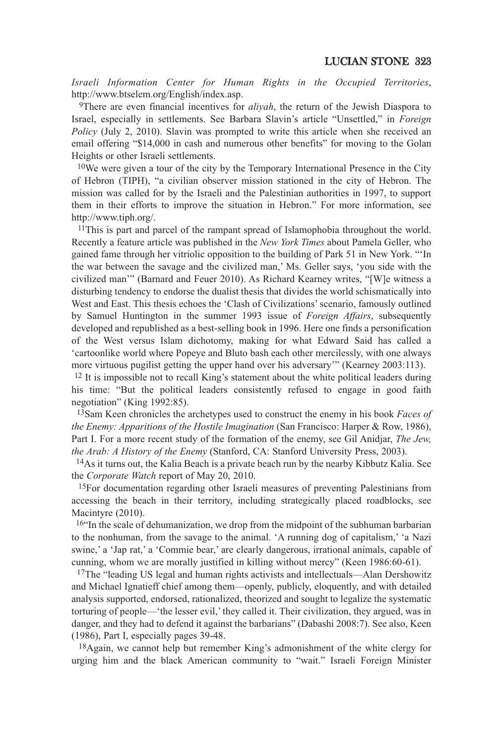*Israeli Information Center for Human Rights in the Occupied Territories*, http://www.btselem.org/English/index.asp.

9There are even financial incentives for *aliyah*, the return of the Jewish Diaspora to Israel, especially in settlements. See Barbara Slavin's article "Unsettled," in *Foreign Policy* (July 2, 2010). Slavin was prompted to write this article when she received an email offering "\$14,000 in cash and numerous other benefits" for moving to the Golan Heights or other Israeli settlements.

<sup>10</sup>We were given a tour of the city by the Temporary International Presence in the City of Hebron (TIPH), "a civilian observer mission stationed in the city of Hebron. The mission was called for by the Israeli and the Palestinian authorities in 1997, to support them in their efforts to improve the situation in Hebron." For more information, see http://www.tiph.org/.

11This is part and parcel of the rampant spread of Islamophobia throughout the world. Recently a feature article was published in the *New York Times* about Pamela Geller, who gained fame through her vitriolic opposition to the building of Park 51 in New York. "'In the war between the savage and the civilized man,' Ms. Geller says, 'you side with the civilized man'" (Barnard and Feuer 2010). As Richard Kearney writes, "[W]e witness a disturbing tendency to endorse the dualist thesis that divides the world schismatically into West and East. This thesis echoes the 'Clash of Civilizations'scenario, famously outlined by Samuel Huntington in the summer 1993 issue of *Foreign Affairs*, subsequently developed and republished as a best-selling book in 1996. Here one finds a personification of the West versus Islam dichotomy, making for what Edward Said has called a 'cartoonlike world where Popeye and Bluto bash each other mercilessly, with one always more virtuous pugilist getting the upper hand over his adversary'" (Kearney 2003:113).

<sup>12</sup> It is impossible not to recall King's statement about the white political leaders during his time: "But the political leaders consistently refused to engage in good faith negotiation" (King 1992:85).

13Sam Keen chronicles the archetypes used to construct the enemy in his book *Faces of the Enemy: Apparitions of the Hostile Imagination* (San Francisco: Harper & Row, 1986), Part I. For a more recent study of the formation of the enemy, see Gil Anidjar, *The Jew, the Arab: A History of the Enemy* (Stanford, CA: Stanford University Press, 2003).

14As it turns out, the Kalia Beach is a private beach run by the nearby Kibbutz Kalia. See the *Corporate Watch* report of May 20, 2010.

15For documentation regarding other Israeli measures of preventing Palestinians from accessing the beach in their territory, including strategically placed roadblocks, see Macintyre (2010).

16"In the scale of dehumanization, we drop from the midpoint of the subhuman barbarian to the nonhuman, from the savage to the animal. 'A running dog of capitalism,' 'a Nazi swine,' a 'Jap rat,' a 'Commie bear,' are clearly dangerous, irrational animals, capable of cunning, whom we are morally justified in killing without mercy" (Keen 1986:60-61).

17The "leading US legal and human rights activists and intellectuals—Alan Dershowitz and Michael Ignatieff chief among them—openly, publicly, eloquently, and with detailed analysis supported, endorsed, rationalized, theorized and sought to legalize the systematic torturing of people—'the lesser evil,'they called it. Their civilization, they argued, was in danger, and they had to defend it against the barbarians" (Dabashi 2008:7). See also, Keen (1986), Part I, especially pages 39-48.

18Again, we cannot help but remember King's admonishment of the white clergy for urging him and the black American community to "wait." Israeli Foreign Minister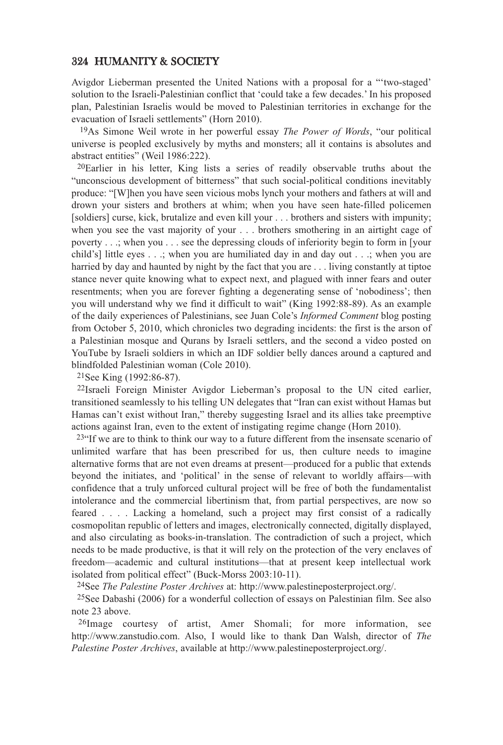Avigdor Lieberman presented the United Nations with a proposal for a "'two-staged' solution to the Israeli-Palestinian conflict that 'could take a few decades.' In his proposed plan, Palestinian Israelis would be moved to Palestinian territories in exchange for the evacuation of Israeli settlements" (Horn 2010).

19As Simone Weil wrote in her powerful essay *The Power of Words*, "our political universe is peopled exclusively by myths and monsters; all it contains is absolutes and abstract entities" (Weil 1986:222).

20Earlier in his letter, King lists a series of readily observable truths about the "unconscious development of bitterness" that such social-political conditions inevitably produce: "[W]hen you have seen vicious mobs lynch your mothers and fathers at will and drown your sisters and brothers at whim; when you have seen hate-filled policemen [soldiers] curse, kick, brutalize and even kill your . . . brothers and sisters with impunity; when you see the vast majority of your . . . brothers smothering in an airtight cage of poverty . . .; when you . . . see the depressing clouds of inferiority begin to form in [your child's] little eyes  $\ldots$ ; when you are humiliated day in and day out  $\ldots$ ; when you are harried by day and haunted by night by the fact that you are . . . living constantly at tiptoe stance never quite knowing what to expect next, and plagued with inner fears and outer resentments; when you are forever fighting a degenerating sense of 'nobodiness'; then you will understand why we find it difficult to wait" (King 1992:88-89). As an example of the daily experiences of Palestinians, see Juan Cole's *Informed Comment* blog posting from October 5, 2010, which chronicles two degrading incidents: the first is the arson of a Palestinian mosque and Qurans by Israeli settlers, and the second a video posted on YouTube by Israeli soldiers in which an IDF soldier belly dances around a captured and blindfolded Palestinian woman (Cole 2010).

#### 21See King (1992:86-87).

22Israeli Foreign Minister Avigdor Lieberman's proposal to the UN cited earlier, transitioned seamlessly to his telling UN delegates that "Iran can exist without Hamas but Hamas can't exist without Iran," thereby suggesting Israel and its allies take preemptive actions against Iran, even to the extent of instigating regime change (Horn 2010).

 $23$ "If we are to think to think our way to a future different from the insensate scenario of unlimited warfare that has been prescribed for us, then culture needs to imagine alternative forms that are not even dreams at present—produced for a public that extends beyond the initiates, and 'political' in the sense of relevant to worldly affairs—with confidence that a truly unforced cultural project will be free of both the fundamentalist intolerance and the commercial libertinism that, from partial perspectives, are now so feared . . . . Lacking a homeland, such a project may first consist of a radically cosmopolitan republic of letters and images, electronically connected, digitally displayed, and also circulating as books-in-translation. The contradiction of such a project, which needs to be made productive, is that it will rely on the protection of the very enclaves of freedom—academic and cultural institutions—that at present keep intellectual work isolated from political effect" (Buck-Morss 2003:10-11).

24See *The Palestine Poster Archives* at: http://www.palestineposterproject.org/.

25See Dabashi (2006) for a wonderful collection of essays on Palestinian film. See also note 23 above.

26Image courtesy of artist, Amer Shomali; for more information, see http://www.zanstudio.com. Also, I would like to thank Dan Walsh, director of *The Palestine Poster Archives*, available at http://www.palestineposterproject.org/.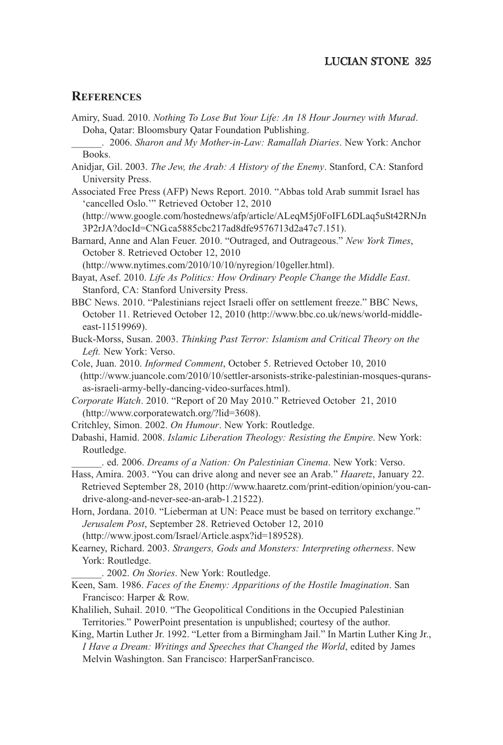### **REFERENCES**

- Amiry, Suad. 2010. *Nothing To Lose But Your Life: An 18 Hour Journey with Murad*. Doha, Qatar: Bloomsbury Qatar Foundation Publishing.
	- \_\_\_\_\_\_. 2006. *Sharon and My Mother-in-Law: Ramallah Diaries*. New York: Anchor Books.
- Anidjar, Gil. 2003. *The Jew, the Arab: A History of the Enemy*. Stanford, CA: Stanford University Press.
- Associated Free Press (AFP) News Report. 2010. "Abbas told Arab summit Israel has 'cancelled Oslo.'" Retrieved October 12, 2010

(http://www.google.com/hostednews/afp/article/ALeqM5j0FoIFL6DLaq5uSt42RNJn 3P2rJA?docId=CNG.ca5885cbc217ad8dfe9576713d2a47c7.151).

Barnard, Anne and Alan Feuer. 2010. "Outraged, and Outrageous." *New York Times*, October 8. Retrieved October 12, 2010

(http://www.nytimes.com/2010/10/10/nyregion/10geller.html).

Bayat, Asef. 2010. *Life As Politics: How Ordinary People Change the Middle East*. Stanford, CA: Stanford University Press.

- BBC News. 2010. "Palestinians reject Israeli offer on settlement freeze." BBC News, October 11. Retrieved October 12, 2010 (http://www.bbc.co.uk/news/world-middleeast-11519969).
- Buck-Morss, Susan. 2003. *Thinking Past Terror: Islamism and Critical Theory on the Left.* New York: Verso.

Cole, Juan. 2010. *Informed Comment*, October 5. Retrieved October 10, 2010 (http://www.juancole.com/2010/10/settler-arsonists-strike-palestinian-mosques-quransas-israeli-army-belly-dancing-video-surfaces.html).

- *Corporate Watch*. 2010. "Report of 20 May 2010." Retrieved October 21, 2010 (http://www.corporatewatch.org/?lid=3608).
- Critchley, Simon. 2002. *On Humour*. New York: Routledge.

Dabashi, Hamid. 2008. *Islamic Liberation Theology: Resisting the Empire*. New York: Routledge.

\_\_\_\_\_\_. ed. 2006. *Dreams of a Nation: On Palestinian Cinema*. New York: Verso.

Hass, Amira. 2003. "You can drive along and never see an Arab." *Haaretz*, January 22. Retrieved September 28, 2010 (http://www.haaretz.com/print-edition/opinion/you-candrive-along-and-never-see-an-arab-1.21522).

Horn, Jordana. 2010. "Lieberman at UN: Peace must be based on territory exchange." *Jerusalem Post*, September 28. Retrieved October 12, 2010

(http://www.jpost.com/Israel/Article.aspx?id=189528).

Kearney, Richard. 2003. *Strangers, Gods and Monsters: Interpreting otherness*. New York: Routledge.

\_\_\_\_\_\_. 2002. *On Stories*. New York: Routledge.

- Keen, Sam. 1986. *Faces of the Enemy: Apparitions of the Hostile Imagination*. San Francisco: Harper & Row.
- Khalilieh, Suhail. 2010. "The Geopolitical Conditions in the Occupied Palestinian Territories." PowerPoint presentation is unpublished; courtesy of the author.

King, Martin Luther Jr. 1992. "Letter from a Birmingham Jail." In Martin Luther King Jr., *I Have a Dream: Writings and Speeches that Changed the World*, edited by James Melvin Washington. San Francisco: HarperSanFrancisco.